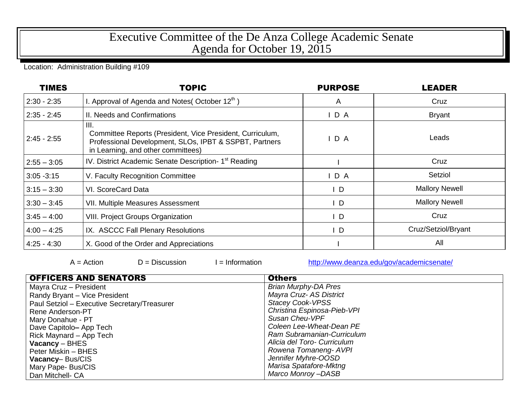## Executive Committee of the De Anza College Academic Senate Agenda for October 19, 2015

## Location: Administration Building #109

| <b>TIMES</b>  | <b>TOPIC</b>                                                                                                                                                      | <b>PURPOSE</b> | LEADER                |
|---------------|-------------------------------------------------------------------------------------------------------------------------------------------------------------------|----------------|-----------------------|
| $2:30 - 2:35$ | I. Approval of Agenda and Notes (October $12^{th}$ )                                                                                                              | A              | Cruz                  |
| $2:35 - 2:45$ | II. Needs and Confirmations                                                                                                                                       | D A            | <b>Bryant</b>         |
| $2:45 - 2:55$ | III.<br>Committee Reports (President, Vice President, Curriculum,<br>Professional Development, SLOs, IPBT & SSPBT, Partners<br>in Learning, and other committees) | D A            | Leads                 |
| $2:55 - 3:05$ | IV. District Academic Senate Description- 1 <sup>st</sup> Reading                                                                                                 |                | Cruz                  |
| $3:05 - 3:15$ | V. Faculty Recognition Committee                                                                                                                                  | D A            | Setziol               |
| $3:15 - 3:30$ | VI. ScoreCard Data                                                                                                                                                | ∣D             | <b>Mallory Newell</b> |
| $3:30 - 3:45$ | VII. Multiple Measures Assessment                                                                                                                                 | ID             | <b>Mallory Newell</b> |
| $3:45 - 4:00$ | <b>VIII. Project Groups Organization</b>                                                                                                                          | ID             | Cruz                  |
| $4:00 - 4:25$ | IX. ASCCC Fall Plenary Resolutions                                                                                                                                | D              | Cruz/Setziol/Bryant   |
| $4:25 - 4:30$ | X. Good of the Order and Appreciations                                                                                                                            |                | All                   |

 $A = Action$   $D = Discussion$   $I = Information$  <http://www.deanza.edu/gov/academicsenate/>

| <b>OFFICERS AND SENATORS</b>                 | <b>Others</b>               |  |  |
|----------------------------------------------|-----------------------------|--|--|
| Mayra Cruz - President                       | <b>Brian Murphy-DA Pres</b> |  |  |
| Randy Bryant - Vice President                | Mayra Cruz- AS District     |  |  |
| Paul Setziol - Executive Secretary/Treasurer | <b>Stacey Cook-VPSS</b>     |  |  |
| Rene Anderson-PT                             | Christina Espinosa-Pieb-VPI |  |  |
| Mary Donahue - PT                            | Susan Cheu-VPF              |  |  |
| Dave Capitolo- App Tech                      | Coleen Lee-Wheat-Dean PE    |  |  |
| Rick Maynard - App Tech                      | Ram Subramanian-Curriculum  |  |  |
| $Vacancy - BHES$                             | Alicia del Toro- Curriculum |  |  |
| Peter Miskin - BHES                          | Rowena Tomaneng- AVPI       |  |  |
| Vacancy-Bus/CIS                              | Jennifer Myhre-OOSD         |  |  |
| Mary Pape- Bus/CIS                           | Marisa Spatafore-Mktng      |  |  |
| Dan Mitchell- CA                             | Marco Monroy-DASB           |  |  |